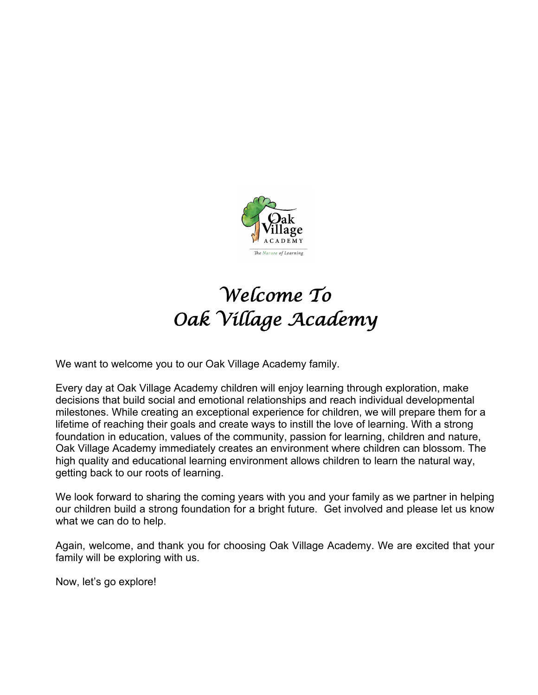

# *Welcome To Oak Village Academy*

We want to welcome you to our Oak Village Academy family.

Every day at Oak Village Academy children will enjoy learning through exploration, make decisions that build social and emotional relationships and reach individual developmental milestones. While creating an exceptional experience for children, we will prepare them for a lifetime of reaching their goals and create ways to instill the love of learning. With a strong foundation in education, values of the community, passion for learning, children and nature, Oak Village Academy immediately creates an environment where children can blossom. The high quality and educational learning environment allows children to learn the natural way, getting back to our roots of learning.

We look forward to sharing the coming years with you and your family as we partner in helping our children build a strong foundation for a bright future. Get involved and please let us know what we can do to help.

Again, welcome, and thank you for choosing Oak Village Academy. We are excited that your family will be exploring with us.

Now, let's go explore!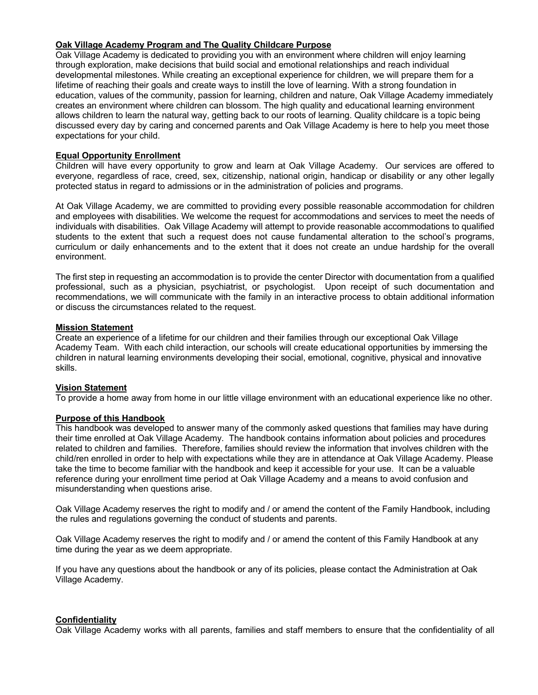## **Oak Village Academy Program and The Quality Childcare Purpose**

Oak Village Academy is dedicated to providing you with an environment where children will enjoy learning through exploration, make decisions that build social and emotional relationships and reach individual developmental milestones. While creating an exceptional experience for children, we will prepare them for a lifetime of reaching their goals and create ways to instill the love of learning. With a strong foundation in education, values of the community, passion for learning, children and nature, Oak Village Academy immediately creates an environment where children can blossom. The high quality and educational learning environment allows children to learn the natural way, getting back to our roots of learning. Quality childcare is a topic being discussed every day by caring and concerned parents and Oak Village Academy is here to help you meet those expectations for your child.

## **Equal Opportunity Enrollment**

Children will have every opportunity to grow and learn at Oak Village Academy. Our services are offered to everyone, regardless of race, creed, sex, citizenship, national origin, handicap or disability or any other legally protected status in regard to admissions or in the administration of policies and programs.

At Oak Village Academy, we are committed to providing every possible reasonable accommodation for children and employees with disabilities. We welcome the request for accommodations and services to meet the needs of individuals with disabilities. Oak Village Academy will attempt to provide reasonable accommodations to qualified students to the extent that such a request does not cause fundamental alteration to the school's programs, curriculum or daily enhancements and to the extent that it does not create an undue hardship for the overall environment.

The first step in requesting an accommodation is to provide the center Director with documentation from a qualified professional, such as a physician, psychiatrist, or psychologist. Upon receipt of such documentation and recommendations, we will communicate with the family in an interactive process to obtain additional information or discuss the circumstances related to the request.

## **Mission Statement**

Create an experience of a lifetime for our children and their families through our exceptional Oak Village Academy Team. With each child interaction, our schools will create educational opportunities by immersing the children in natural learning environments developing their social, emotional, cognitive, physical and innovative skills.

## **Vision Statement**

To provide a home away from home in our little village environment with an educational experience like no other.

## **Purpose of this Handbook**

This handbook was developed to answer many of the commonly asked questions that families may have during their time enrolled at Oak Village Academy. The handbook contains information about policies and procedures related to children and families. Therefore, families should review the information that involves children with the child/ren enrolled in order to help with expectations while they are in attendance at Oak Village Academy. Please take the time to become familiar with the handbook and keep it accessible for your use. It can be a valuable reference during your enrollment time period at Oak Village Academy and a means to avoid confusion and misunderstanding when questions arise.

Oak Village Academy reserves the right to modify and / or amend the content of the Family Handbook, including the rules and regulations governing the conduct of students and parents.

Oak Village Academy reserves the right to modify and / or amend the content of this Family Handbook at any time during the year as we deem appropriate.

If you have any questions about the handbook or any of its policies, please contact the Administration at Oak Village Academy.

## **Confidentiality**

Oak Village Academy works with all parents, families and staff members to ensure that the confidentiality of all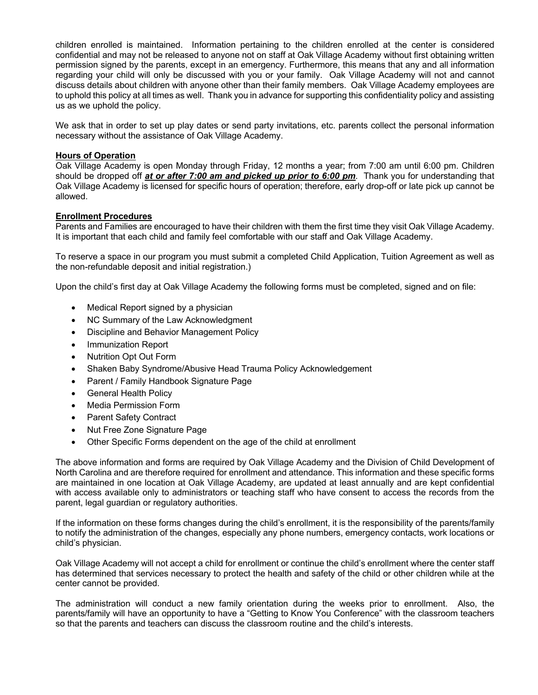children enrolled is maintained. Information pertaining to the children enrolled at the center is considered confidential and may not be released to anyone not on staff at Oak Village Academy without first obtaining written permission signed by the parents, except in an emergency. Furthermore, this means that any and all information regarding your child will only be discussed with you or your family. Oak Village Academy will not and cannot discuss details about children with anyone other than their family members. Oak Village Academy employees are to uphold this policy at all times as well. Thank you in advance for supporting this confidentiality policy and assisting us as we uphold the policy.

We ask that in order to set up play dates or send party invitations, etc. parents collect the personal information necessary without the assistance of Oak Village Academy.

## **Hours of Operation**

Oak Village Academy is open Monday through Friday, 12 months a year; from 7:00 am until 6:00 pm. Children should be dropped off *at or after 7:00 am and picked up prior to 6:00 pm*. Thank you for understanding that Oak Village Academy is licensed for specific hours of operation; therefore, early drop-off or late pick up cannot be allowed.

## **Enrollment Procedures**

Parents and Families are encouraged to have their children with them the first time they visit Oak Village Academy. It is important that each child and family feel comfortable with our staff and Oak Village Academy.

To reserve a space in our program you must submit a completed Child Application, Tuition Agreement as well as the non-refundable deposit and initial registration.)

Upon the child's first day at Oak Village Academy the following forms must be completed, signed and on file:

- Medical Report signed by a physician
- NC Summary of the Law Acknowledgment
- Discipline and Behavior Management Policy
- Immunization Report
- Nutrition Opt Out Form
- Shaken Baby Syndrome/Abusive Head Trauma Policy Acknowledgement
- Parent / Family Handbook Signature Page
- General Health Policy
- Media Permission Form
- Parent Safety Contract
- Nut Free Zone Signature Page
- Other Specific Forms dependent on the age of the child at enrollment

The above information and forms are required by Oak Village Academy and the Division of Child Development of North Carolina and are therefore required for enrollment and attendance. This information and these specific forms are maintained in one location at Oak Village Academy, are updated at least annually and are kept confidential with access available only to administrators or teaching staff who have consent to access the records from the parent, legal guardian or regulatory authorities.

If the information on these forms changes during the child's enrollment, it is the responsibility of the parents/family to notify the administration of the changes, especially any phone numbers, emergency contacts, work locations or child's physician.

Oak Village Academy will not accept a child for enrollment or continue the child's enrollment where the center staff has determined that services necessary to protect the health and safety of the child or other children while at the center cannot be provided.

The administration will conduct a new family orientation during the weeks prior to enrollment. Also, the parents/family will have an opportunity to have a "Getting to Know You Conference" with the classroom teachers so that the parents and teachers can discuss the classroom routine and the child's interests.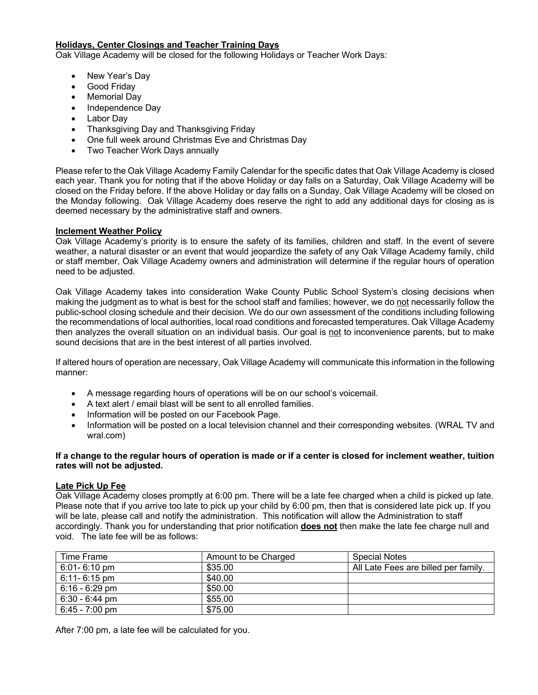## **Holidays, Center Closings and Teacher Training Days**

Oak Village Academy will be closed for the following Holidays or Teacher Work Days:

- New Year's Day
- Good Friday
- Memorial Day
- Independence Day
- Labor Day
- Thanksgiving Day and Thanksgiving Friday
- One full week around Christmas Eve and Christmas Day
- Two Teacher Work Days annually

Please refer to the Oak Village Academy Family Calendar for the specific dates that Oak Village Academy is closed each year. Thank you for noting that if the above Holiday or day falls on a Saturday, Oak Village Academy will be closed on the Friday before. If the above Holiday or day falls on a Sunday, Oak Village Academy will be closed on the Monday following. Oak Village Academy does reserve the right to add any additional days for closing as is deemed necessary by the administrative staff and owners.

## **Inclement Weather Policy**

Oak Village Academy's priority is to ensure the safety of its families, children and staff. In the event of severe weather, a natural disaster or an event that would jeopardize the safety of any Oak Village Academy family, child or staff member, Oak Village Academy owners and administration will determine if the regular hours of operation need to be adjusted.

Oak Village Academy takes into consideration Wake County Public School System's closing decisions when making the judgment as to what is best for the school staff and families; however, we do not necessarily follow the public-school closing schedule and their decision. We do our own assessment of the conditions including following the recommendations of local authorities, local road conditions and forecasted temperatures. Oak Village Academy then analyzes the overall situation on an individual basis. Our goal is not to inconvenience parents, but to make sound decisions that are in the best interest of all parties involved.

If altered hours of operation are necessary, Oak Village Academy will communicate this information in the following manner:

- A message regarding hours of operations will be on our school's voicemail.
- A text alert / email blast will be sent to all enrolled families.
- Information will be posted on our Facebook Page.
- Information will be posted on a local television channel and their corresponding websites. (WRAL TV and wral.com)

**If a change to the regular hours of operation is made or if a center is closed for inclement weather, tuition rates will not be adjusted.** 

## **Late Pick Up Fee**

Oak Village Academy closes promptly at 6:00 pm. There will be a late fee charged when a child is picked up late. Please note that if you arrive too late to pick up your child by 6:00 pm, then that is considered late pick up. If you will be late, please call and notify the administration. This notification will allow the Administration to staff accordingly. Thank you for understanding that prior notification **does not** then make the late fee charge null and void. The late fee will be as follows:

| Time Frame       | Amount to be Charged | <b>Special Notes</b>                 |
|------------------|----------------------|--------------------------------------|
| $6:01 - 6:10$ pm | \$35.00              | All Late Fees are billed per family. |
| $6:11 - 6:15$ pm | \$40.00              |                                      |
| $6:16 - 6:29$ pm | \$50.00              |                                      |
| $6:30 - 6:44$ pm | \$55.00              |                                      |
| 6:45 - 7:00 pm   | \$75.00              |                                      |

After 7:00 pm, a late fee will be calculated for you.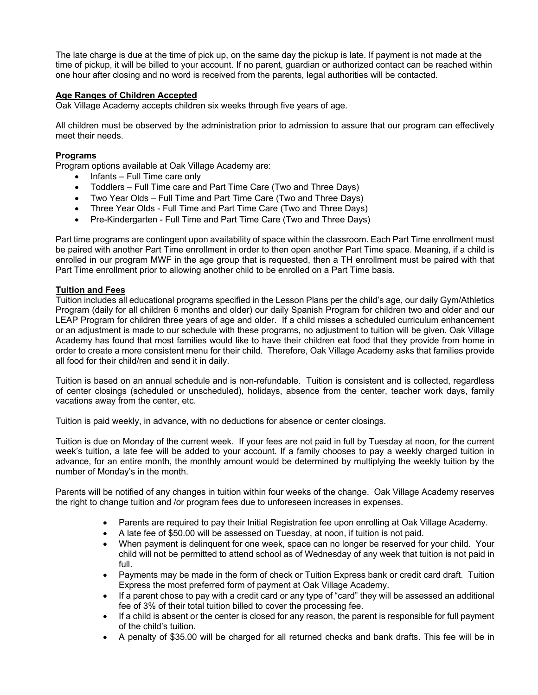The late charge is due at the time of pick up, on the same day the pickup is late. If payment is not made at the time of pickup, it will be billed to your account. If no parent, guardian or authorized contact can be reached within one hour after closing and no word is received from the parents, legal authorities will be contacted.

## **Age Ranges of Children Accepted**

Oak Village Academy accepts children six weeks through five years of age.

All children must be observed by the administration prior to admission to assure that our program can effectively meet their needs.

## **Programs**

Program options available at Oak Village Academy are:

- Infants Full Time care only
- Toddlers Full Time care and Part Time Care (Two and Three Days)
- Two Year Olds Full Time and Part Time Care (Two and Three Days)
- Three Year Olds Full Time and Part Time Care (Two and Three Days)
- Pre-Kindergarten Full Time and Part Time Care (Two and Three Days)

Part time programs are contingent upon availability of space within the classroom. Each Part Time enrollment must be paired with another Part Time enrollment in order to then open another Part Time space. Meaning, if a child is enrolled in our program MWF in the age group that is requested, then a TH enrollment must be paired with that Part Time enrollment prior to allowing another child to be enrolled on a Part Time basis.

## **Tuition and Fees**

Tuition includes all educational programs specified in the Lesson Plans per the child's age, our daily Gym/Athletics Program (daily for all children 6 months and older) our daily Spanish Program for children two and older and our LEAP Program for children three years of age and older. If a child misses a scheduled curriculum enhancement or an adjustment is made to our schedule with these programs, no adjustment to tuition will be given. Oak Village Academy has found that most families would like to have their children eat food that they provide from home in order to create a more consistent menu for their child. Therefore, Oak Village Academy asks that families provide all food for their child/ren and send it in daily.

Tuition is based on an annual schedule and is non-refundable. Tuition is consistent and is collected, regardless of center closings (scheduled or unscheduled), holidays, absence from the center, teacher work days, family vacations away from the center, etc.

Tuition is paid weekly, in advance, with no deductions for absence or center closings.

Tuition is due on Monday of the current week. If your fees are not paid in full by Tuesday at noon, for the current week's tuition, a late fee will be added to your account. If a family chooses to pay a weekly charged tuition in advance, for an entire month, the monthly amount would be determined by multiplying the weekly tuition by the number of Monday's in the month.

Parents will be notified of any changes in tuition within four weeks of the change. Oak Village Academy reserves the right to change tuition and /or program fees due to unforeseen increases in expenses.

- Parents are required to pay their Initial Registration fee upon enrolling at Oak Village Academy.
- A late fee of \$50.00 will be assessed on Tuesday, at noon, if tuition is not paid.
- When payment is delinquent for one week, space can no longer be reserved for your child. Your child will not be permitted to attend school as of Wednesday of any week that tuition is not paid in full.
- Payments may be made in the form of check or Tuition Express bank or credit card draft. Tuition Express the most preferred form of payment at Oak Village Academy.
- If a parent chose to pay with a credit card or any type of "card" they will be assessed an additional fee of 3% of their total tuition billed to cover the processing fee.
- If a child is absent or the center is closed for any reason, the parent is responsible for full payment of the child's tuition.
- A penalty of \$35.00 will be charged for all returned checks and bank drafts. This fee will be in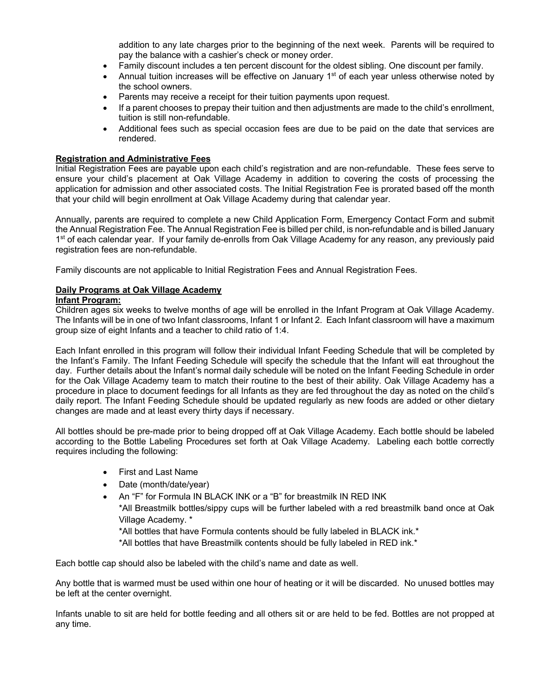addition to any late charges prior to the beginning of the next week. Parents will be required to pay the balance with a cashier's check or money order.

- Family discount includes a ten percent discount for the oldest sibling. One discount per family.
- Annual tuition increases will be effective on January  $1<sup>st</sup>$  of each year unless otherwise noted by the school owners.
- Parents may receive a receipt for their tuition payments upon request.
- If a parent chooses to prepay their tuition and then adjustments are made to the child's enrollment, tuition is still non-refundable.
- Additional fees such as special occasion fees are due to be paid on the date that services are rendered.

## **Registration and Administrative Fees**

Initial Registration Fees are payable upon each child's registration and are non-refundable. These fees serve to ensure your child's placement at Oak Village Academy in addition to covering the costs of processing the application for admission and other associated costs. The Initial Registration Fee is prorated based off the month that your child will begin enrollment at Oak Village Academy during that calendar year.

Annually, parents are required to complete a new Child Application Form, Emergency Contact Form and submit the Annual Registration Fee. The Annual Registration Fee is billed per child, is non-refundable and is billed January 1<sup>st</sup> of each calendar year. If your family de-enrolls from Oak Village Academy for any reason, any previously paid registration fees are non-refundable.

Family discounts are not applicable to Initial Registration Fees and Annual Registration Fees.

## **Daily Programs at Oak Village Academy**

## **Infant Program:**

Children ages six weeks to twelve months of age will be enrolled in the Infant Program at Oak Village Academy. The Infants will be in one of two Infant classrooms, Infant 1 or Infant 2. Each Infant classroom will have a maximum group size of eight Infants and a teacher to child ratio of 1:4.

Each Infant enrolled in this program will follow their individual Infant Feeding Schedule that will be completed by the Infant's Family. The Infant Feeding Schedule will specify the schedule that the Infant will eat throughout the day. Further details about the Infant's normal daily schedule will be noted on the Infant Feeding Schedule in order for the Oak Village Academy team to match their routine to the best of their ability. Oak Village Academy has a procedure in place to document feedings for all Infants as they are fed throughout the day as noted on the child's daily report. The Infant Feeding Schedule should be updated regularly as new foods are added or other dietary changes are made and at least every thirty days if necessary.

All bottles should be pre-made prior to being dropped off at Oak Village Academy. Each bottle should be labeled according to the Bottle Labeling Procedures set forth at Oak Village Academy. Labeling each bottle correctly requires including the following:

- First and Last Name
- Date (month/date/year)
- An "F" for Formula IN BLACK INK or a "B" for breastmilk IN RED INK

\*All Breastmilk bottles/sippy cups will be further labeled with a red breastmilk band once at Oak Village Academy. \*

\*All bottles that have Formula contents should be fully labeled in BLACK ink.\*

\*All bottles that have Breastmilk contents should be fully labeled in RED ink.\*

Each bottle cap should also be labeled with the child's name and date as well.

Any bottle that is warmed must be used within one hour of heating or it will be discarded. No unused bottles may be left at the center overnight.

Infants unable to sit are held for bottle feeding and all others sit or are held to be fed. Bottles are not propped at any time.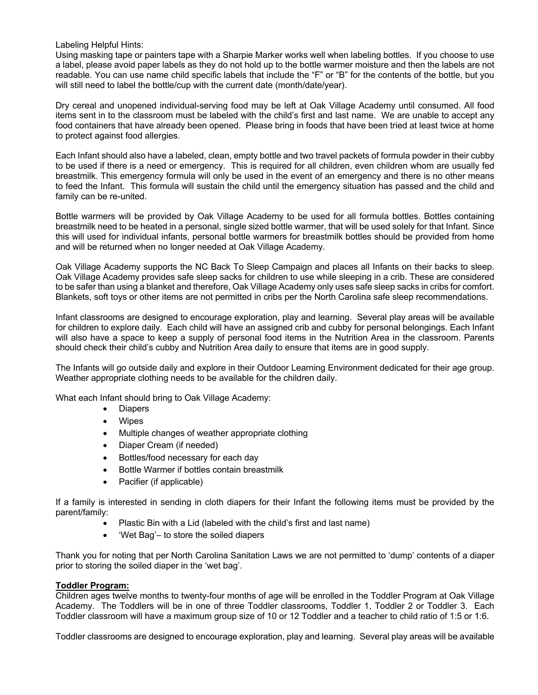Labeling Helpful Hints:

Using masking tape or painters tape with a Sharpie Marker works well when labeling bottles. If you choose to use a label, please avoid paper labels as they do not hold up to the bottle warmer moisture and then the labels are not readable. You can use name child specific labels that include the "F" or "B" for the contents of the bottle, but you will still need to label the bottle/cup with the current date (month/date/year).

Dry cereal and unopened individual-serving food may be left at Oak Village Academy until consumed. All food items sent in to the classroom must be labeled with the child's first and last name. We are unable to accept any food containers that have already been opened. Please bring in foods that have been tried at least twice at home to protect against food allergies.

Each Infant should also have a labeled, clean, empty bottle and two travel packets of formula powder in their cubby to be used if there is a need or emergency. This is required for all children, even children whom are usually fed breastmilk. This emergency formula will only be used in the event of an emergency and there is no other means to feed the Infant. This formula will sustain the child until the emergency situation has passed and the child and family can be re-united.

Bottle warmers will be provided by Oak Village Academy to be used for all formula bottles. Bottles containing breastmilk need to be heated in a personal, single sized bottle warmer, that will be used solely for that Infant. Since this will used for individual infants, personal bottle warmers for breastmilk bottles should be provided from home and will be returned when no longer needed at Oak Village Academy.

Oak Village Academy supports the NC Back To Sleep Campaign and places all Infants on their backs to sleep. Oak Village Academy provides safe sleep sacks for children to use while sleeping in a crib. These are considered to be safer than using a blanket and therefore, Oak Village Academy only uses safe sleep sacks in cribs for comfort. Blankets, soft toys or other items are not permitted in cribs per the North Carolina safe sleep recommendations.

Infant classrooms are designed to encourage exploration, play and learning. Several play areas will be available for children to explore daily. Each child will have an assigned crib and cubby for personal belongings. Each Infant will also have a space to keep a supply of personal food items in the Nutrition Area in the classroom. Parents should check their child's cubby and Nutrition Area daily to ensure that items are in good supply.

The Infants will go outside daily and explore in their Outdoor Learning Environment dedicated for their age group. Weather appropriate clothing needs to be available for the children daily.

What each Infant should bring to Oak Village Academy:

- Diapers
- Wipes
- Multiple changes of weather appropriate clothing
- Diaper Cream (if needed)
- Bottles/food necessary for each day
- Bottle Warmer if bottles contain breastmilk
- Pacifier (if applicable)

If a family is interested in sending in cloth diapers for their Infant the following items must be provided by the parent/family:

- Plastic Bin with a Lid (labeled with the child's first and last name)
- 'Wet Bag'– to store the soiled diapers

Thank you for noting that per North Carolina Sanitation Laws we are not permitted to 'dump' contents of a diaper prior to storing the soiled diaper in the 'wet bag'.

## **Toddler Program:**

Children ages twelve months to twenty-four months of age will be enrolled in the Toddler Program at Oak Village Academy. The Toddlers will be in one of three Toddler classrooms, Toddler 1, Toddler 2 or Toddler 3. Each Toddler classroom will have a maximum group size of 10 or 12 Toddler and a teacher to child ratio of 1:5 or 1:6.

Toddler classrooms are designed to encourage exploration, play and learning. Several play areas will be available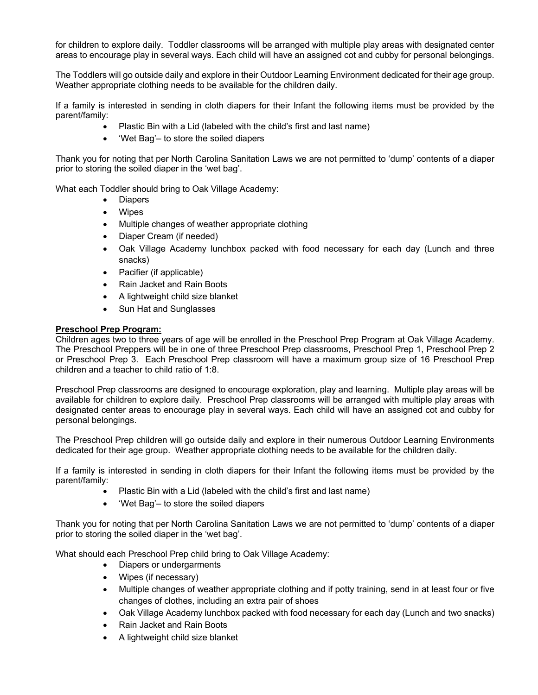for children to explore daily. Toddler classrooms will be arranged with multiple play areas with designated center areas to encourage play in several ways. Each child will have an assigned cot and cubby for personal belongings.

The Toddlers will go outside daily and explore in their Outdoor Learning Environment dedicated for their age group. Weather appropriate clothing needs to be available for the children daily.

If a family is interested in sending in cloth diapers for their Infant the following items must be provided by the parent/family:

- Plastic Bin with a Lid (labeled with the child's first and last name)
- 'Wet Bag'– to store the soiled diapers

Thank you for noting that per North Carolina Sanitation Laws we are not permitted to 'dump' contents of a diaper prior to storing the soiled diaper in the 'wet bag'.

What each Toddler should bring to Oak Village Academy:

- Diapers
- **Wipes**
- Multiple changes of weather appropriate clothing
- Diaper Cream (if needed)
- Oak Village Academy lunchbox packed with food necessary for each day (Lunch and three snacks)
- Pacifier (if applicable)
- Rain Jacket and Rain Boots
- A lightweight child size blanket
- Sun Hat and Sunglasses

## **Preschool Prep Program:**

Children ages two to three years of age will be enrolled in the Preschool Prep Program at Oak Village Academy. The Preschool Preppers will be in one of three Preschool Prep classrooms, Preschool Prep 1, Preschool Prep 2 or Preschool Prep 3. Each Preschool Prep classroom will have a maximum group size of 16 Preschool Prep children and a teacher to child ratio of 1:8.

Preschool Prep classrooms are designed to encourage exploration, play and learning. Multiple play areas will be available for children to explore daily. Preschool Prep classrooms will be arranged with multiple play areas with designated center areas to encourage play in several ways. Each child will have an assigned cot and cubby for personal belongings.

The Preschool Prep children will go outside daily and explore in their numerous Outdoor Learning Environments dedicated for their age group. Weather appropriate clothing needs to be available for the children daily.

If a family is interested in sending in cloth diapers for their Infant the following items must be provided by the parent/family:

- Plastic Bin with a Lid (labeled with the child's first and last name)
- 'Wet Bag'– to store the soiled diapers

Thank you for noting that per North Carolina Sanitation Laws we are not permitted to 'dump' contents of a diaper prior to storing the soiled diaper in the 'wet bag'.

What should each Preschool Prep child bring to Oak Village Academy:

- Diapers or undergarments
- Wipes (if necessary)
- Multiple changes of weather appropriate clothing and if potty training, send in at least four or five changes of clothes, including an extra pair of shoes
- Oak Village Academy lunchbox packed with food necessary for each day (Lunch and two snacks)
- Rain Jacket and Rain Boots
- A lightweight child size blanket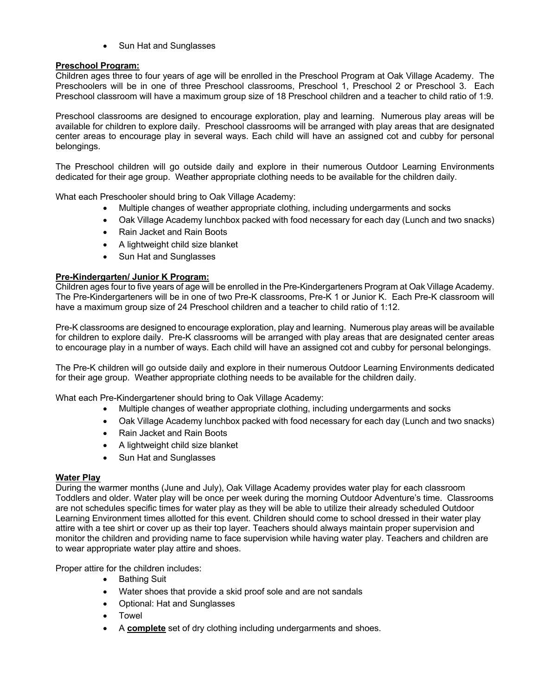• Sun Hat and Sunglasses

## **Preschool Program:**

Children ages three to four years of age will be enrolled in the Preschool Program at Oak Village Academy. The Preschoolers will be in one of three Preschool classrooms, Preschool 1, Preschool 2 or Preschool 3. Each Preschool classroom will have a maximum group size of 18 Preschool children and a teacher to child ratio of 1:9.

Preschool classrooms are designed to encourage exploration, play and learning. Numerous play areas will be available for children to explore daily. Preschool classrooms will be arranged with play areas that are designated center areas to encourage play in several ways. Each child will have an assigned cot and cubby for personal belongings.

The Preschool children will go outside daily and explore in their numerous Outdoor Learning Environments dedicated for their age group. Weather appropriate clothing needs to be available for the children daily.

What each Preschooler should bring to Oak Village Academy:

- Multiple changes of weather appropriate clothing, including undergarments and socks
- Oak Village Academy lunchbox packed with food necessary for each day (Lunch and two snacks)
- Rain Jacket and Rain Boots
- A lightweight child size blanket
- Sun Hat and Sunglasses

## **Pre-Kindergarten/ Junior K Program:**

Children ages four to five years of age will be enrolled in the Pre-Kindergarteners Program at Oak Village Academy. The Pre-Kindergarteners will be in one of two Pre-K classrooms, Pre-K 1 or Junior K. Each Pre-K classroom will have a maximum group size of 24 Preschool children and a teacher to child ratio of 1:12.

Pre-K classrooms are designed to encourage exploration, play and learning. Numerous play areas will be available for children to explore daily. Pre-K classrooms will be arranged with play areas that are designated center areas to encourage play in a number of ways. Each child will have an assigned cot and cubby for personal belongings.

The Pre-K children will go outside daily and explore in their numerous Outdoor Learning Environments dedicated for their age group. Weather appropriate clothing needs to be available for the children daily.

What each Pre-Kindergartener should bring to Oak Village Academy:

- Multiple changes of weather appropriate clothing, including undergarments and socks
- Oak Village Academy lunchbox packed with food necessary for each day (Lunch and two snacks)
- Rain Jacket and Rain Boots
- A lightweight child size blanket
- Sun Hat and Sunglasses

## **Water Play**

During the warmer months (June and July), Oak Village Academy provides water play for each classroom Toddlers and older. Water play will be once per week during the morning Outdoor Adventure's time. Classrooms are not schedules specific times for water play as they will be able to utilize their already scheduled Outdoor Learning Environment times allotted for this event. Children should come to school dressed in their water play attire with a tee shirt or cover up as their top layer. Teachers should always maintain proper supervision and monitor the children and providing name to face supervision while having water play. Teachers and children are to wear appropriate water play attire and shoes.

Proper attire for the children includes:

- Bathing Suit
- Water shoes that provide a skid proof sole and are not sandals
- Optional: Hat and Sunglasses
- **Towel**
- A **complete** set of dry clothing including undergarments and shoes.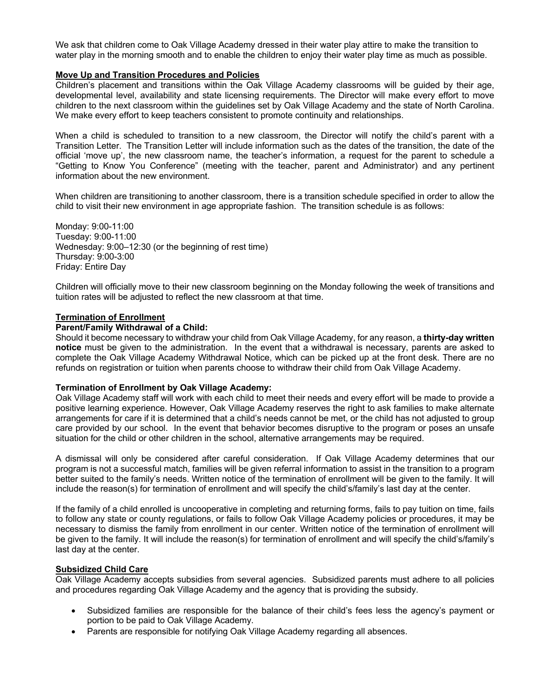We ask that children come to Oak Village Academy dressed in their water play attire to make the transition to water play in the morning smooth and to enable the children to enjoy their water play time as much as possible.

## **Move Up and Transition Procedures and Policies**

Children's placement and transitions within the Oak Village Academy classrooms will be guided by their age, developmental level, availability and state licensing requirements. The Director will make every effort to move children to the next classroom within the guidelines set by Oak Village Academy and the state of North Carolina. We make every effort to keep teachers consistent to promote continuity and relationships.

When a child is scheduled to transition to a new classroom, the Director will notify the child's parent with a Transition Letter. The Transition Letter will include information such as the dates of the transition, the date of the official 'move up', the new classroom name, the teacher's information, a request for the parent to schedule a "Getting to Know You Conference" (meeting with the teacher, parent and Administrator) and any pertinent information about the new environment.

When children are transitioning to another classroom, there is a transition schedule specified in order to allow the child to visit their new environment in age appropriate fashion. The transition schedule is as follows:

Monday: 9:00-11:00 Tuesday: 9:00-11:00 Wednesday: 9:00–12:30 (or the beginning of rest time) Thursday: 9:00-3:00 Friday: Entire Day

Children will officially move to their new classroom beginning on the Monday following the week of transitions and tuition rates will be adjusted to reflect the new classroom at that time.

#### **Termination of Enrollment**

#### **Parent/Family Withdrawal of a Child:**

Should it become necessary to withdraw your child from Oak Village Academy, for any reason, a **thirty-day written notice** must be given to the administration. In the event that a withdrawal is necessary, parents are asked to complete the Oak Village Academy Withdrawal Notice, which can be picked up at the front desk. There are no refunds on registration or tuition when parents choose to withdraw their child from Oak Village Academy.

## **Termination of Enrollment by Oak Village Academy:**

Oak Village Academy staff will work with each child to meet their needs and every effort will be made to provide a positive learning experience. However, Oak Village Academy reserves the right to ask families to make alternate arrangements for care if it is determined that a child's needs cannot be met, or the child has not adjusted to group care provided by our school. In the event that behavior becomes disruptive to the program or poses an unsafe situation for the child or other children in the school, alternative arrangements may be required.

A dismissal will only be considered after careful consideration. If Oak Village Academy determines that our program is not a successful match, families will be given referral information to assist in the transition to a program better suited to the family's needs. Written notice of the termination of enrollment will be given to the family. It will include the reason(s) for termination of enrollment and will specify the child's/family's last day at the center.

If the family of a child enrolled is uncooperative in completing and returning forms, fails to pay tuition on time, fails to follow any state or county regulations, or fails to follow Oak Village Academy policies or procedures, it may be necessary to dismiss the family from enrollment in our center. Written notice of the termination of enrollment will be given to the family. It will include the reason(s) for termination of enrollment and will specify the child's/family's last day at the center.

## **Subsidized Child Care**

Oak Village Academy accepts subsidies from several agencies. Subsidized parents must adhere to all policies and procedures regarding Oak Village Academy and the agency that is providing the subsidy.

- Subsidized families are responsible for the balance of their child's fees less the agency's payment or portion to be paid to Oak Village Academy.
- Parents are responsible for notifying Oak Village Academy regarding all absences.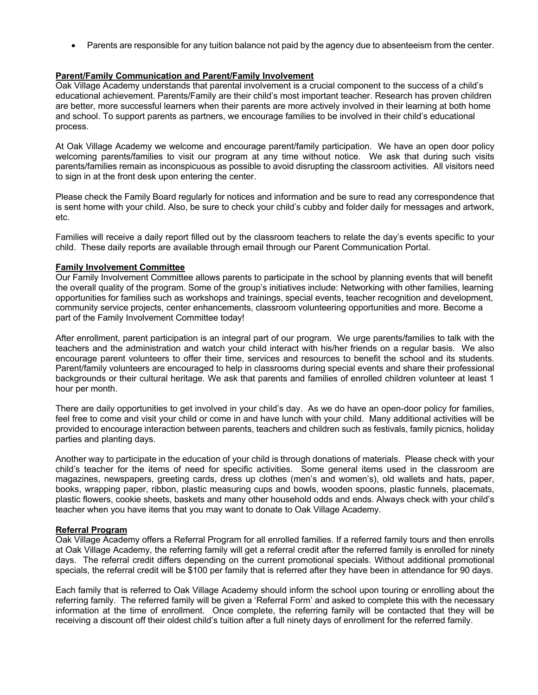• Parents are responsible for any tuition balance not paid by the agency due to absenteeism from the center.

## **Parent/Family Communication and Parent/Family Involvement**

Oak Village Academy understands that parental involvement is a crucial component to the success of a child's educational achievement. Parents/Family are their child's most important teacher. Research has proven children are better, more successful learners when their parents are more actively involved in their learning at both home and school. To support parents as partners, we encourage families to be involved in their child's educational process.

At Oak Village Academy we welcome and encourage parent/family participation. We have an open door policy welcoming parents/families to visit our program at any time without notice. We ask that during such visits parents/families remain as inconspicuous as possible to avoid disrupting the classroom activities. All visitors need to sign in at the front desk upon entering the center.

Please check the Family Board regularly for notices and information and be sure to read any correspondence that is sent home with your child. Also, be sure to check your child's cubby and folder daily for messages and artwork, etc.

Families will receive a daily report filled out by the classroom teachers to relate the day's events specific to your child. These daily reports are available through email through our Parent Communication Portal.

## **Family Involvement Committee**

Our Family Involvement Committee allows parents to participate in the school by planning events that will benefit the overall quality of the program. Some of the group's initiatives include: Networking with other families, learning opportunities for families such as workshops and trainings, special events, teacher recognition and development, community service projects, center enhancements, classroom volunteering opportunities and more. Become a part of the Family Involvement Committee today!

After enrollment, parent participation is an integral part of our program. We urge parents/families to talk with the teachers and the administration and watch your child interact with his/her friends on a regular basis. We also encourage parent volunteers to offer their time, services and resources to benefit the school and its students. Parent/family volunteers are encouraged to help in classrooms during special events and share their professional backgrounds or their cultural heritage. We ask that parents and families of enrolled children volunteer at least 1 hour per month.

There are daily opportunities to get involved in your child's day. As we do have an open-door policy for families, feel free to come and visit your child or come in and have lunch with your child. Many additional activities will be provided to encourage interaction between parents, teachers and children such as festivals, family picnics, holiday parties and planting days.

Another way to participate in the education of your child is through donations of materials. Please check with your child's teacher for the items of need for specific activities. Some general items used in the classroom are magazines, newspapers, greeting cards, dress up clothes (men's and women's), old wallets and hats, paper, books, wrapping paper, ribbon, plastic measuring cups and bowls, wooden spoons, plastic funnels, placemats, plastic flowers, cookie sheets, baskets and many other household odds and ends. Always check with your child's teacher when you have items that you may want to donate to Oak Village Academy.

## **Referral Program**

Oak Village Academy offers a Referral Program for all enrolled families. If a referred family tours and then enrolls at Oak Village Academy, the referring family will get a referral credit after the referred family is enrolled for ninety days. The referral credit differs depending on the current promotional specials. Without additional promotional specials, the referral credit will be \$100 per family that is referred after they have been in attendance for 90 days.

Each family that is referred to Oak Village Academy should inform the school upon touring or enrolling about the referring family. The referred family will be given a 'Referral Form' and asked to complete this with the necessary information at the time of enrollment. Once complete, the referring family will be contacted that they will be receiving a discount off their oldest child's tuition after a full ninety days of enrollment for the referred family.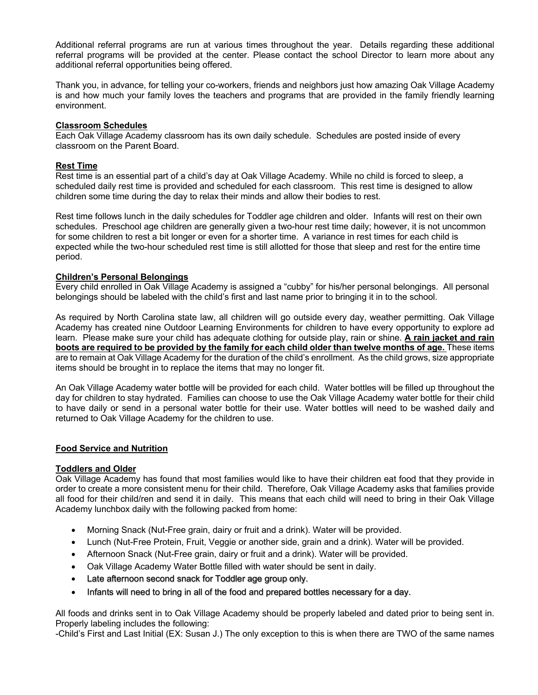Additional referral programs are run at various times throughout the year. Details regarding these additional referral programs will be provided at the center. Please contact the school Director to learn more about any additional referral opportunities being offered.

Thank you, in advance, for telling your co-workers, friends and neighbors just how amazing Oak Village Academy is and how much your family loves the teachers and programs that are provided in the family friendly learning environment.

## **Classroom Schedules**

Each Oak Village Academy classroom has its own daily schedule. Schedules are posted inside of every classroom on the Parent Board.

## **Rest Time**

Rest time is an essential part of a child's day at Oak Village Academy. While no child is forced to sleep, a scheduled daily rest time is provided and scheduled for each classroom. This rest time is designed to allow children some time during the day to relax their minds and allow their bodies to rest.

Rest time follows lunch in the daily schedules for Toddler age children and older. Infants will rest on their own schedules. Preschool age children are generally given a two-hour rest time daily; however, it is not uncommon for some children to rest a bit longer or even for a shorter time. A variance in rest times for each child is expected while the two-hour scheduled rest time is still allotted for those that sleep and rest for the entire time period.

## **Children's Personal Belongings**

Every child enrolled in Oak Village Academy is assigned a "cubby" for his/her personal belongings. All personal belongings should be labeled with the child's first and last name prior to bringing it in to the school.

As required by North Carolina state law, all children will go outside every day, weather permitting. Oak Village Academy has created nine Outdoor Learning Environments for children to have every opportunity to explore ad learn. Please make sure your child has adequate clothing for outside play, rain or shine. **A rain jacket and rain boots are required to be provided by the family for each child older than twelve months of age.** These items are to remain at Oak Village Academy for the duration of the child's enrollment. As the child grows, size appropriate items should be brought in to replace the items that may no longer fit.

An Oak Village Academy water bottle will be provided for each child. Water bottles will be filled up throughout the day for children to stay hydrated. Families can choose to use the Oak Village Academy water bottle for their child to have daily or send in a personal water bottle for their use. Water bottles will need to be washed daily and returned to Oak Village Academy for the children to use.

## **Food Service and Nutrition**

## **Toddlers and Older**

Oak Village Academy has found that most families would like to have their children eat food that they provide in order to create a more consistent menu for their child. Therefore, Oak Village Academy asks that families provide all food for their child/ren and send it in daily. This means that each child will need to bring in their Oak Village Academy lunchbox daily with the following packed from home:

- Morning Snack (Nut-Free grain, dairy or fruit and a drink). Water will be provided.
- Lunch (Nut-Free Protein, Fruit, Veggie or another side, grain and a drink). Water will be provided.
- Afternoon Snack (Nut-Free grain, dairy or fruit and a drink). Water will be provided.
- Oak Village Academy Water Bottle filled with water should be sent in daily.
- Late afternoon second snack for Toddler age group only.
- Infants will need to bring in all of the food and prepared bottles necessary for a day.

All foods and drinks sent in to Oak Village Academy should be properly labeled and dated prior to being sent in. Properly labeling includes the following:

-Child's First and Last Initial (EX: Susan J.) The only exception to this is when there are TWO of the same names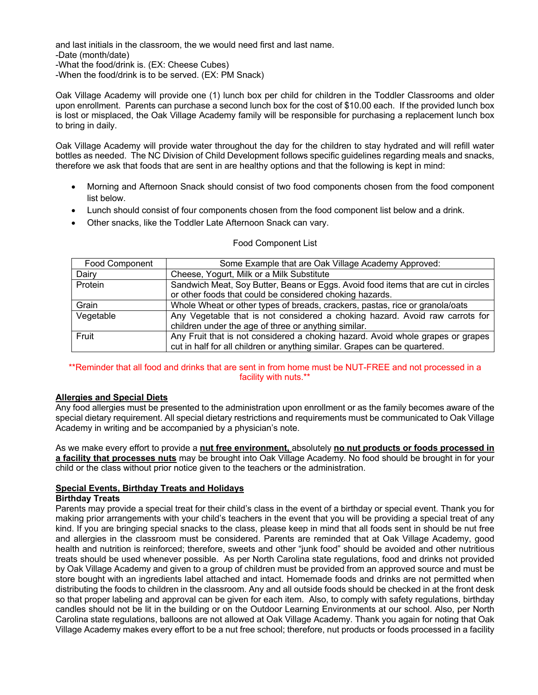and last initials in the classroom, the we would need first and last name. -Date (month/date) -What the food/drink is. (EX: Cheese Cubes) -When the food/drink is to be served. (EX: PM Snack)

Oak Village Academy will provide one (1) lunch box per child for children in the Toddler Classrooms and older upon enrollment. Parents can purchase a second lunch box for the cost of \$10.00 each. If the provided lunch box is lost or misplaced, the Oak Village Academy family will be responsible for purchasing a replacement lunch box to bring in daily.

Oak Village Academy will provide water throughout the day for the children to stay hydrated and will refill water bottles as needed. The NC Division of Child Development follows specific guidelines regarding meals and snacks, therefore we ask that foods that are sent in are healthy options and that the following is kept in mind:

- Morning and Afternoon Snack should consist of two food components chosen from the food component list below.
- Lunch should consist of four components chosen from the food component list below and a drink.
- Other snacks, like the Toddler Late Afternoon Snack can vary.

| <b>Food Component</b> | Some Example that are Oak Village Academy Approved:                                |
|-----------------------|------------------------------------------------------------------------------------|
| Dairy                 | Cheese, Yogurt, Milk or a Milk Substitute                                          |
| Protein               | Sandwich Meat, Soy Butter, Beans or Eggs. Avoid food items that are cut in circles |
|                       | or other foods that could be considered choking hazards.                           |
| Grain                 | Whole Wheat or other types of breads, crackers, pastas, rice or granola/oats       |
| Vegetable             | Any Vegetable that is not considered a choking hazard. Avoid raw carrots for       |
|                       | children under the age of three or anything similar.                               |
| Fruit                 | Any Fruit that is not considered a choking hazard. Avoid whole grapes or grapes    |
|                       | cut in half for all children or anything similar. Grapes can be quartered.         |

#### Food Component List

## \*\*Reminder that all food and drinks that are sent in from home must be NUT-FREE and not processed in a facility with nuts.\*\*

## **Allergies and Special Diets**

Any food allergies must be presented to the administration upon enrollment or as the family becomes aware of the special dietary requirement. All special dietary restrictions and requirements must be communicated to Oak Village Academy in writing and be accompanied by a physician's note.

As we make every effort to provide a **nut free environment,** absolutely **no nut products or foods processed in a facility that processes nuts** may be brought into Oak Village Academy. No food should be brought in for your child or the class without prior notice given to the teachers or the administration.

## **Special Events, Birthday Treats and Holidays**

## **Birthday Treats**

Parents may provide a special treat for their child's class in the event of a birthday or special event. Thank you for making prior arrangements with your child's teachers in the event that you will be providing a special treat of any kind. If you are bringing special snacks to the class, please keep in mind that all foods sent in should be nut free and allergies in the classroom must be considered. Parents are reminded that at Oak Village Academy, good health and nutrition is reinforced; therefore, sweets and other "junk food" should be avoided and other nutritious treats should be used whenever possible. As per North Carolina state regulations, food and drinks not provided by Oak Village Academy and given to a group of children must be provided from an approved source and must be store bought with an ingredients label attached and intact. Homemade foods and drinks are not permitted when distributing the foods to children in the classroom. Any and all outside foods should be checked in at the front desk so that proper labeling and approval can be given for each item. Also, to comply with safety regulations, birthday candles should not be lit in the building or on the Outdoor Learning Environments at our school. Also, per North Carolina state regulations, balloons are not allowed at Oak Village Academy. Thank you again for noting that Oak Village Academy makes every effort to be a nut free school; therefore, nut products or foods processed in a facility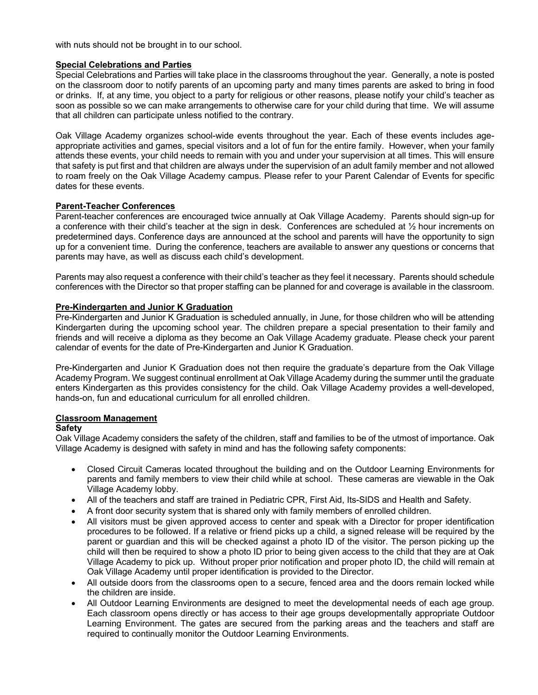with nuts should not be brought in to our school.

## **Special Celebrations and Parties**

Special Celebrations and Parties will take place in the classrooms throughout the year. Generally, a note is posted on the classroom door to notify parents of an upcoming party and many times parents are asked to bring in food or drinks. If, at any time, you object to a party for religious or other reasons, please notify your child's teacher as soon as possible so we can make arrangements to otherwise care for your child during that time. We will assume that all children can participate unless notified to the contrary.

Oak Village Academy organizes school-wide events throughout the year. Each of these events includes ageappropriate activities and games, special visitors and a lot of fun for the entire family. However, when your family attends these events, your child needs to remain with you and under your supervision at all times. This will ensure that safety is put first and that children are always under the supervision of an adult family member and not allowed to roam freely on the Oak Village Academy campus. Please refer to your Parent Calendar of Events for specific dates for these events.

## **Parent-Teacher Conferences**

Parent-teacher conferences are encouraged twice annually at Oak Village Academy. Parents should sign-up for a conference with their child's teacher at the sign in desk. Conferences are scheduled at  $\frac{1}{2}$  hour increments on predetermined days. Conference days are announced at the school and parents will have the opportunity to sign up for a convenient time. During the conference, teachers are available to answer any questions or concerns that parents may have, as well as discuss each child's development.

Parents may also request a conference with their child's teacher as they feel it necessary. Parents should schedule conferences with the Director so that proper staffing can be planned for and coverage is available in the classroom.

## **Pre-Kindergarten and Junior K Graduation**

Pre-Kindergarten and Junior K Graduation is scheduled annually, in June, for those children who will be attending Kindergarten during the upcoming school year. The children prepare a special presentation to their family and friends and will receive a diploma as they become an Oak Village Academy graduate. Please check your parent calendar of events for the date of Pre-Kindergarten and Junior K Graduation.

Pre-Kindergarten and Junior K Graduation does not then require the graduate's departure from the Oak Village Academy Program. We suggest continual enrollment at Oak Village Academy during the summer until the graduate enters Kindergarten as this provides consistency for the child. Oak Village Academy provides a well-developed, hands-on, fun and educational curriculum for all enrolled children.

## **Classroom Management**

## **Safety**

Oak Village Academy considers the safety of the children, staff and families to be of the utmost of importance. Oak Village Academy is designed with safety in mind and has the following safety components:

- Closed Circuit Cameras located throughout the building and on the Outdoor Learning Environments for parents and family members to view their child while at school. These cameras are viewable in the Oak Village Academy lobby.
- All of the teachers and staff are trained in Pediatric CPR, First Aid, Its-SIDS and Health and Safety.
- A front door security system that is shared only with family members of enrolled children.
- All visitors must be given approved access to center and speak with a Director for proper identification procedures to be followed. If a relative or friend picks up a child, a signed release will be required by the parent or guardian and this will be checked against a photo ID of the visitor. The person picking up the child will then be required to show a photo ID prior to being given access to the child that they are at Oak Village Academy to pick up. Without proper prior notification and proper photo ID, the child will remain at Oak Village Academy until proper identification is provided to the Director.
- All outside doors from the classrooms open to a secure, fenced area and the doors remain locked while the children are inside.
- All Outdoor Learning Environments are designed to meet the developmental needs of each age group. Each classroom opens directly or has access to their age groups developmentally appropriate Outdoor Learning Environment. The gates are secured from the parking areas and the teachers and staff are required to continually monitor the Outdoor Learning Environments.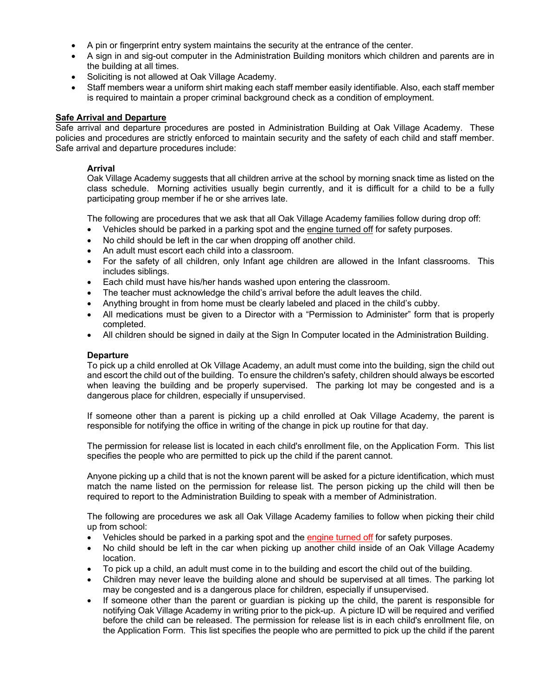- A pin or fingerprint entry system maintains the security at the entrance of the center.
- A sign in and sig-out computer in the Administration Building monitors which children and parents are in the building at all times.
- Soliciting is not allowed at Oak Village Academy.
- Staff members wear a uniform shirt making each staff member easily identifiable. Also, each staff member is required to maintain a proper criminal background check as a condition of employment.

## **Safe Arrival and Departure**

Safe arrival and departure procedures are posted in Administration Building at Oak Village Academy. These policies and procedures are strictly enforced to maintain security and the safety of each child and staff member. Safe arrival and departure procedures include:

## **Arrival**

Oak Village Academy suggests that all children arrive at the school by morning snack time as listed on the class schedule. Morning activities usually begin currently, and it is difficult for a child to be a fully participating group member if he or she arrives late.

The following are procedures that we ask that all Oak Village Academy families follow during drop off:

- Vehicles should be parked in a parking spot and the engine turned off for safety purposes.
- No child should be left in the car when dropping off another child.
- An adult must escort each child into a classroom.
- For the safety of all children, only Infant age children are allowed in the Infant classrooms. This includes siblings.
- Each child must have his/her hands washed upon entering the classroom.
- The teacher must acknowledge the child's arrival before the adult leaves the child.
- Anything brought in from home must be clearly labeled and placed in the child's cubby.
- All medications must be given to a Director with a "Permission to Administer" form that is properly completed.
- All children should be signed in daily at the Sign In Computer located in the Administration Building.

## **Departure**

To pick up a child enrolled at Ok Village Academy, an adult must come into the building, sign the child out and escort the child out of the building. To ensure the children's safety, children should always be escorted when leaving the building and be properly supervised. The parking lot may be congested and is a dangerous place for children, especially if unsupervised.

If someone other than a parent is picking up a child enrolled at Oak Village Academy, the parent is responsible for notifying the office in writing of the change in pick up routine for that day.

The permission for release list is located in each child's enrollment file, on the Application Form. This list specifies the people who are permitted to pick up the child if the parent cannot.

Anyone picking up a child that is not the known parent will be asked for a picture identification, which must match the name listed on the permission for release list. The person picking up the child will then be required to report to the Administration Building to speak with a member of Administration.

The following are procedures we ask all Oak Village Academy families to follow when picking their child up from school:

- Vehicles should be parked in a parking spot and the engine turned off for safety purposes.
- No child should be left in the car when picking up another child inside of an Oak Village Academy location.
- To pick up a child, an adult must come in to the building and escort the child out of the building.
- Children may never leave the building alone and should be supervised at all times. The parking lot may be congested and is a dangerous place for children, especially if unsupervised.
- If someone other than the parent or guardian is picking up the child, the parent is responsible for notifying Oak Village Academy in writing prior to the pick-up. A picture ID will be required and verified before the child can be released. The permission for release list is in each child's enrollment file, on the Application Form. This list specifies the people who are permitted to pick up the child if the parent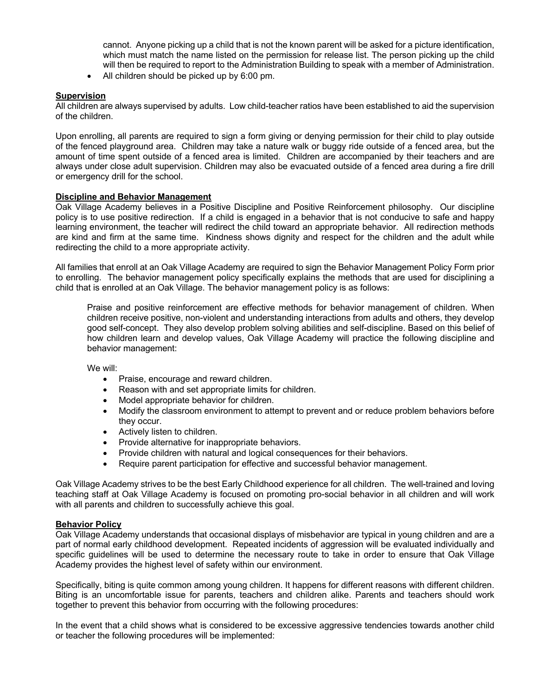cannot. Anyone picking up a child that is not the known parent will be asked for a picture identification, which must match the name listed on the permission for release list. The person picking up the child will then be required to report to the Administration Building to speak with a member of Administration.

• All children should be picked up by 6:00 pm.

## **Supervision**

All children are always supervised by adults. Low child-teacher ratios have been established to aid the supervision of the children.

Upon enrolling, all parents are required to sign a form giving or denying permission for their child to play outside of the fenced playground area. Children may take a nature walk or buggy ride outside of a fenced area, but the amount of time spent outside of a fenced area is limited. Children are accompanied by their teachers and are always under close adult supervision. Children may also be evacuated outside of a fenced area during a fire drill or emergency drill for the school.

## **Discipline and Behavior Management**

Oak Village Academy believes in a Positive Discipline and Positive Reinforcement philosophy. Our discipline policy is to use positive redirection. If a child is engaged in a behavior that is not conducive to safe and happy learning environment, the teacher will redirect the child toward an appropriate behavior. All redirection methods are kind and firm at the same time. Kindness shows dignity and respect for the children and the adult while redirecting the child to a more appropriate activity.

All families that enroll at an Oak Village Academy are required to sign the Behavior Management Policy Form prior to enrolling. The behavior management policy specifically explains the methods that are used for disciplining a child that is enrolled at an Oak Village. The behavior management policy is as follows:

Praise and positive reinforcement are effective methods for behavior management of children. When children receive positive, non-violent and understanding interactions from adults and others, they develop good self-concept. They also develop problem solving abilities and self-discipline. Based on this belief of how children learn and develop values, Oak Village Academy will practice the following discipline and behavior management:

We will:

- Praise, encourage and reward children.
- Reason with and set appropriate limits for children.
- Model appropriate behavior for children.
- Modify the classroom environment to attempt to prevent and or reduce problem behaviors before they occur.
- Actively listen to children.
- Provide alternative for inappropriate behaviors.
- Provide children with natural and logical consequences for their behaviors.
- Require parent participation for effective and successful behavior management.

Oak Village Academy strives to be the best Early Childhood experience for all children. The well-trained and loving teaching staff at Oak Village Academy is focused on promoting pro-social behavior in all children and will work with all parents and children to successfully achieve this goal.

## **Behavior Policy**

Oak Village Academy understands that occasional displays of misbehavior are typical in young children and are a part of normal early childhood development. Repeated incidents of aggression will be evaluated individually and specific guidelines will be used to determine the necessary route to take in order to ensure that Oak Village Academy provides the highest level of safety within our environment.

Specifically, biting is quite common among young children. It happens for different reasons with different children. Biting is an uncomfortable issue for parents, teachers and children alike. Parents and teachers should work together to prevent this behavior from occurring with the following procedures:

In the event that a child shows what is considered to be excessive aggressive tendencies towards another child or teacher the following procedures will be implemented: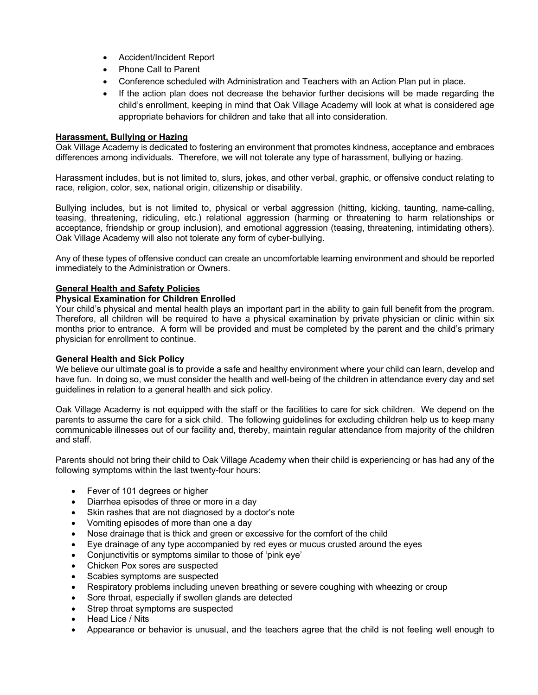- Accident/Incident Report
- Phone Call to Parent
- Conference scheduled with Administration and Teachers with an Action Plan put in place.
- If the action plan does not decrease the behavior further decisions will be made regarding the child's enrollment, keeping in mind that Oak Village Academy will look at what is considered age appropriate behaviors for children and take that all into consideration.

## **Harassment, Bullying or Hazing**

Oak Village Academy is dedicated to fostering an environment that promotes kindness, acceptance and embraces differences among individuals. Therefore, we will not tolerate any type of harassment, bullying or hazing.

Harassment includes, but is not limited to, slurs, jokes, and other verbal, graphic, or offensive conduct relating to race, religion, color, sex, national origin, citizenship or disability.

Bullying includes, but is not limited to, physical or verbal aggression (hitting, kicking, taunting, name-calling, teasing, threatening, ridiculing, etc.) relational aggression (harming or threatening to harm relationships or acceptance, friendship or group inclusion), and emotional aggression (teasing, threatening, intimidating others). Oak Village Academy will also not tolerate any form of cyber-bullying.

Any of these types of offensive conduct can create an uncomfortable learning environment and should be reported immediately to the Administration or Owners.

## **General Health and Safety Policies**

## **Physical Examination for Children Enrolled**

Your child's physical and mental health plays an important part in the ability to gain full benefit from the program. Therefore, all children will be required to have a physical examination by private physician or clinic within six months prior to entrance. A form will be provided and must be completed by the parent and the child's primary physician for enrollment to continue.

## **General Health and Sick Policy**

We believe our ultimate goal is to provide a safe and healthy environment where your child can learn, develop and have fun. In doing so, we must consider the health and well-being of the children in attendance every day and set guidelines in relation to a general health and sick policy.

Oak Village Academy is not equipped with the staff or the facilities to care for sick children. We depend on the parents to assume the care for a sick child. The following guidelines for excluding children help us to keep many communicable illnesses out of our facility and, thereby, maintain regular attendance from majority of the children and staff.

Parents should not bring their child to Oak Village Academy when their child is experiencing or has had any of the following symptoms within the last twenty-four hours:

- Fever of 101 degrees or higher
- Diarrhea episodes of three or more in a day
- Skin rashes that are not diagnosed by a doctor's note
- Vomiting episodes of more than one a day
- Nose drainage that is thick and green or excessive for the comfort of the child
- Eye drainage of any type accompanied by red eyes or mucus crusted around the eyes
- Conjunctivitis or symptoms similar to those of 'pink eye'
- Chicken Pox sores are suspected
- Scabies symptoms are suspected
- Respiratory problems including uneven breathing or severe coughing with wheezing or croup
- Sore throat, especially if swollen glands are detected
- Strep throat symptoms are suspected
- Head Lice / Nits
- Appearance or behavior is unusual, and the teachers agree that the child is not feeling well enough to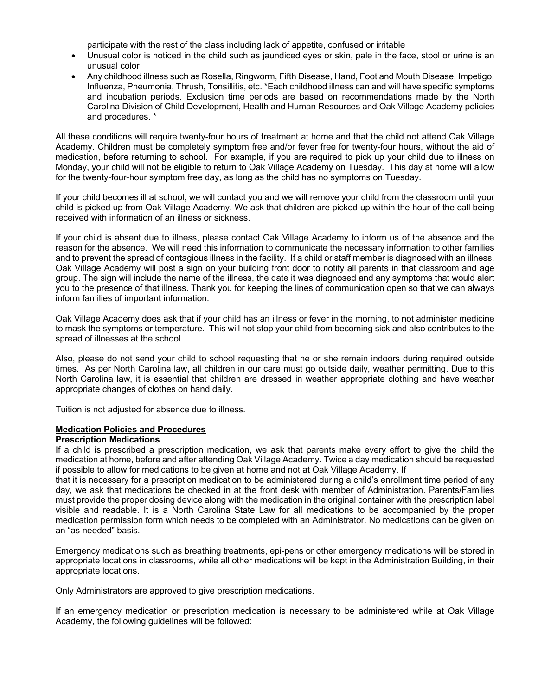participate with the rest of the class including lack of appetite, confused or irritable

- Unusual color is noticed in the child such as jaundiced eyes or skin, pale in the face, stool or urine is an unusual color
- Any childhood illness such as Rosella, Ringworm, Fifth Disease, Hand, Foot and Mouth Disease, Impetigo, Influenza, Pneumonia, Thrush, Tonsillitis, etc. \*Each childhood illness can and will have specific symptoms and incubation periods. Exclusion time periods are based on recommendations made by the North Carolina Division of Child Development, Health and Human Resources and Oak Village Academy policies and procedures. \*

All these conditions will require twenty-four hours of treatment at home and that the child not attend Oak Village Academy. Children must be completely symptom free and/or fever free for twenty-four hours, without the aid of medication, before returning to school. For example, if you are required to pick up your child due to illness on Monday, your child will not be eligible to return to Oak Village Academy on Tuesday. This day at home will allow for the twenty-four-hour symptom free day, as long as the child has no symptoms on Tuesday.

If your child becomes ill at school, we will contact you and we will remove your child from the classroom until your child is picked up from Oak Village Academy. We ask that children are picked up within the hour of the call being received with information of an illness or sickness.

If your child is absent due to illness, please contact Oak Village Academy to inform us of the absence and the reason for the absence. We will need this information to communicate the necessary information to other families and to prevent the spread of contagious illness in the facility. If a child or staff member is diagnosed with an illness, Oak Village Academy will post a sign on your building front door to notify all parents in that classroom and age group. The sign will include the name of the illness, the date it was diagnosed and any symptoms that would alert you to the presence of that illness. Thank you for keeping the lines of communication open so that we can always inform families of important information.

Oak Village Academy does ask that if your child has an illness or fever in the morning, to not administer medicine to mask the symptoms or temperature. This will not stop your child from becoming sick and also contributes to the spread of illnesses at the school.

Also, please do not send your child to school requesting that he or she remain indoors during required outside times. As per North Carolina law, all children in our care must go outside daily, weather permitting. Due to this North Carolina law, it is essential that children are dressed in weather appropriate clothing and have weather appropriate changes of clothes on hand daily.

Tuition is not adjusted for absence due to illness.

## **Medication Policies and Procedures**

## **Prescription Medications**

If a child is prescribed a prescription medication, we ask that parents make every effort to give the child the medication at home, before and after attending Oak Village Academy. Twice a day medication should be requested if possible to allow for medications to be given at home and not at Oak Village Academy. If

that it is necessary for a prescription medication to be administered during a child's enrollment time period of any day, we ask that medications be checked in at the front desk with member of Administration. Parents/Families must provide the proper dosing device along with the medication in the original container with the prescription label visible and readable. It is a North Carolina State Law for all medications to be accompanied by the proper medication permission form which needs to be completed with an Administrator. No medications can be given on an "as needed" basis.

Emergency medications such as breathing treatments, epi-pens or other emergency medications will be stored in appropriate locations in classrooms, while all other medications will be kept in the Administration Building, in their appropriate locations.

Only Administrators are approved to give prescription medications.

If an emergency medication or prescription medication is necessary to be administered while at Oak Village Academy, the following guidelines will be followed: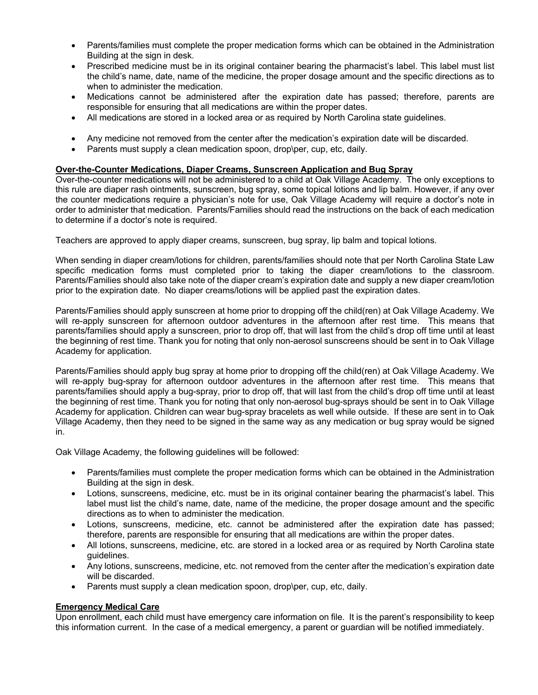- Parents/families must complete the proper medication forms which can be obtained in the Administration Building at the sign in desk.
- Prescribed medicine must be in its original container bearing the pharmacist's label. This label must list the child's name, date, name of the medicine, the proper dosage amount and the specific directions as to when to administer the medication.
- Medications cannot be administered after the expiration date has passed; therefore, parents are responsible for ensuring that all medications are within the proper dates.
- All medications are stored in a locked area or as required by North Carolina state guidelines.
- Any medicine not removed from the center after the medication's expiration date will be discarded.
- Parents must supply a clean medication spoon, drop\per, cup, etc, daily.

## **Over-the-Counter Medications, Diaper Creams, Sunscreen Application and Bug Spray**

Over-the-counter medications will not be administered to a child at Oak Village Academy. The only exceptions to this rule are diaper rash ointments, sunscreen, bug spray, some topical lotions and lip balm. However, if any over the counter medications require a physician's note for use, Oak Village Academy will require a doctor's note in order to administer that medication. Parents/Families should read the instructions on the back of each medication to determine if a doctor's note is required.

Teachers are approved to apply diaper creams, sunscreen, bug spray, lip balm and topical lotions.

When sending in diaper cream/lotions for children, parents/families should note that per North Carolina State Law specific medication forms must completed prior to taking the diaper cream/lotions to the classroom. Parents/Families should also take note of the diaper cream's expiration date and supply a new diaper cream/lotion prior to the expiration date. No diaper creams/lotions will be applied past the expiration dates.

Parents/Families should apply sunscreen at home prior to dropping off the child(ren) at Oak Village Academy. We will re-apply sunscreen for afternoon outdoor adventures in the afternoon after rest time. This means that parents/families should apply a sunscreen, prior to drop off, that will last from the child's drop off time until at least the beginning of rest time. Thank you for noting that only non-aerosol sunscreens should be sent in to Oak Village Academy for application.

Parents/Families should apply bug spray at home prior to dropping off the child(ren) at Oak Village Academy. We will re-apply bug-spray for afternoon outdoor adventures in the afternoon after rest time. This means that parents/families should apply a bug-spray, prior to drop off, that will last from the child's drop off time until at least the beginning of rest time. Thank you for noting that only non-aerosol bug-sprays should be sent in to Oak Village Academy for application. Children can wear bug-spray bracelets as well while outside. If these are sent in to Oak Village Academy, then they need to be signed in the same way as any medication or bug spray would be signed in.

Oak Village Academy, the following guidelines will be followed:

- Parents/families must complete the proper medication forms which can be obtained in the Administration Building at the sign in desk.
- Lotions, sunscreens, medicine, etc. must be in its original container bearing the pharmacist's label. This label must list the child's name, date, name of the medicine, the proper dosage amount and the specific directions as to when to administer the medication.
- Lotions, sunscreens, medicine, etc. cannot be administered after the expiration date has passed; therefore, parents are responsible for ensuring that all medications are within the proper dates.
- All lotions, sunscreens, medicine, etc. are stored in a locked area or as required by North Carolina state guidelines.
- Any lotions, sunscreens, medicine, etc. not removed from the center after the medication's expiration date will be discarded.
- Parents must supply a clean medication spoon, drop\per, cup, etc, daily.

## **Emergency Medical Care**

Upon enrollment, each child must have emergency care information on file. It is the parent's responsibility to keep this information current. In the case of a medical emergency, a parent or guardian will be notified immediately.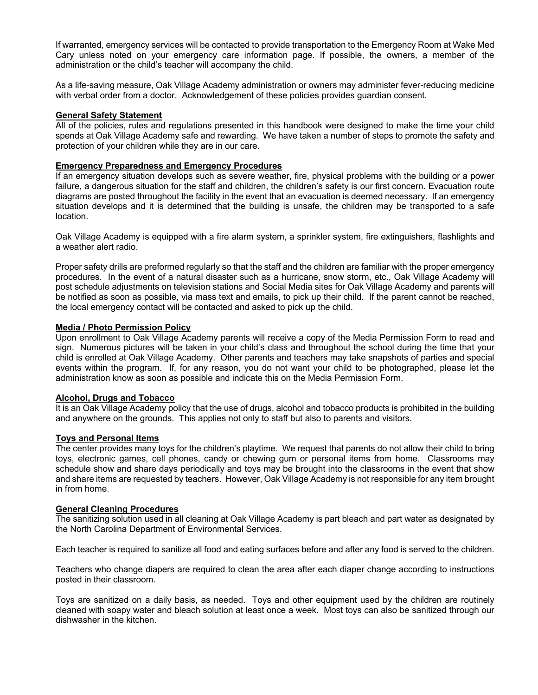If warranted, emergency services will be contacted to provide transportation to the Emergency Room at Wake Med Cary unless noted on your emergency care information page. If possible, the owners, a member of the administration or the child's teacher will accompany the child.

As a life-saving measure, Oak Village Academy administration or owners may administer fever-reducing medicine with verbal order from a doctor. Acknowledgement of these policies provides guardian consent.

#### **General Safety Statement**

All of the policies, rules and regulations presented in this handbook were designed to make the time your child spends at Oak Village Academy safe and rewarding. We have taken a number of steps to promote the safety and protection of your children while they are in our care.

#### **Emergency Preparedness and Emergency Procedures**

If an emergency situation develops such as severe weather, fire, physical problems with the building or a power failure, a dangerous situation for the staff and children, the children's safety is our first concern. Evacuation route diagrams are posted throughout the facility in the event that an evacuation is deemed necessary. If an emergency situation develops and it is determined that the building is unsafe, the children may be transported to a safe location.

Oak Village Academy is equipped with a fire alarm system, a sprinkler system, fire extinguishers, flashlights and a weather alert radio.

Proper safety drills are preformed regularly so that the staff and the children are familiar with the proper emergency procedures. In the event of a natural disaster such as a hurricane, snow storm, etc., Oak Village Academy will post schedule adjustments on television stations and Social Media sites for Oak Village Academy and parents will be notified as soon as possible, via mass text and emails, to pick up their child. If the parent cannot be reached, the local emergency contact will be contacted and asked to pick up the child.

#### **Media / Photo Permission Policy**

Upon enrollment to Oak Village Academy parents will receive a copy of the Media Permission Form to read and sign. Numerous pictures will be taken in your child's class and throughout the school during the time that your child is enrolled at Oak Village Academy. Other parents and teachers may take snapshots of parties and special events within the program. If, for any reason, you do not want your child to be photographed, please let the administration know as soon as possible and indicate this on the Media Permission Form.

#### **Alcohol, Drugs and Tobacco**

It is an Oak Village Academy policy that the use of drugs, alcohol and tobacco products is prohibited in the building and anywhere on the grounds. This applies not only to staff but also to parents and visitors.

#### **Toys and Personal Items**

The center provides many toys for the children's playtime. We request that parents do not allow their child to bring toys, electronic games, cell phones, candy or chewing gum or personal items from home. Classrooms may schedule show and share days periodically and toys may be brought into the classrooms in the event that show and share items are requested by teachers. However, Oak Village Academy is not responsible for any item brought in from home.

#### **General Cleaning Procedures**

The sanitizing solution used in all cleaning at Oak Village Academy is part bleach and part water as designated by the North Carolina Department of Environmental Services.

Each teacher is required to sanitize all food and eating surfaces before and after any food is served to the children.

Teachers who change diapers are required to clean the area after each diaper change according to instructions posted in their classroom.

Toys are sanitized on a daily basis, as needed. Toys and other equipment used by the children are routinely cleaned with soapy water and bleach solution at least once a week. Most toys can also be sanitized through our dishwasher in the kitchen.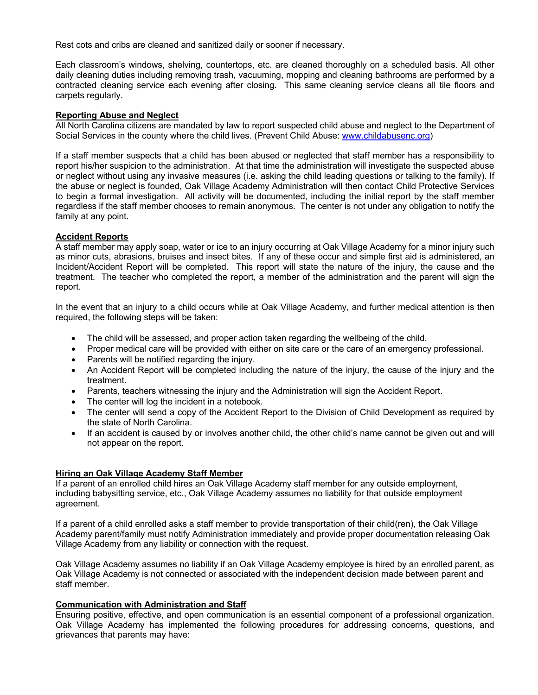Rest cots and cribs are cleaned and sanitized daily or sooner if necessary.

Each classroom's windows, shelving, countertops, etc. are cleaned thoroughly on a scheduled basis. All other daily cleaning duties including removing trash, vacuuming, mopping and cleaning bathrooms are performed by a contracted cleaning service each evening after closing. This same cleaning service cleans all tile floors and carpets regularly.

## **Reporting Abuse and Neglect**

All North Carolina citizens are mandated by law to report suspected child abuse and neglect to the Department of Social Services in the county where the child lives. (Prevent Child Abuse: www.childabusenc.org)

If a staff member suspects that a child has been abused or neglected that staff member has a responsibility to report his/her suspicion to the administration. At that time the administration will investigate the suspected abuse or neglect without using any invasive measures (i.e. asking the child leading questions or talking to the family). If the abuse or neglect is founded, Oak Village Academy Administration will then contact Child Protective Services to begin a formal investigation. All activity will be documented, including the initial report by the staff member regardless if the staff member chooses to remain anonymous. The center is not under any obligation to notify the family at any point.

## **Accident Reports**

A staff member may apply soap, water or ice to an injury occurring at Oak Village Academy for a minor injury such as minor cuts, abrasions, bruises and insect bites. If any of these occur and simple first aid is administered, an Incident/Accident Report will be completed. This report will state the nature of the injury, the cause and the treatment. The teacher who completed the report, a member of the administration and the parent will sign the report.

In the event that an injury to a child occurs while at Oak Village Academy, and further medical attention is then required, the following steps will be taken:

- The child will be assessed, and proper action taken regarding the wellbeing of the child.
- Proper medical care will be provided with either on site care or the care of an emergency professional.
- Parents will be notified regarding the injury.
- An Accident Report will be completed including the nature of the injury, the cause of the injury and the treatment.
- Parents, teachers witnessing the injury and the Administration will sign the Accident Report.
- The center will log the incident in a notebook.
- The center will send a copy of the Accident Report to the Division of Child Development as required by the state of North Carolina.
- If an accident is caused by or involves another child, the other child's name cannot be given out and will not appear on the report.

## **Hiring an Oak Village Academy Staff Member**

If a parent of an enrolled child hires an Oak Village Academy staff member for any outside employment, including babysitting service, etc., Oak Village Academy assumes no liability for that outside employment agreement.

If a parent of a child enrolled asks a staff member to provide transportation of their child(ren), the Oak Village Academy parent/family must notify Administration immediately and provide proper documentation releasing Oak Village Academy from any liability or connection with the request.

Oak Village Academy assumes no liability if an Oak Village Academy employee is hired by an enrolled parent, as Oak Village Academy is not connected or associated with the independent decision made between parent and staff member.

#### **Communication with Administration and Staff**

Ensuring positive, effective, and open communication is an essential component of a professional organization. Oak Village Academy has implemented the following procedures for addressing concerns, questions, and grievances that parents may have: